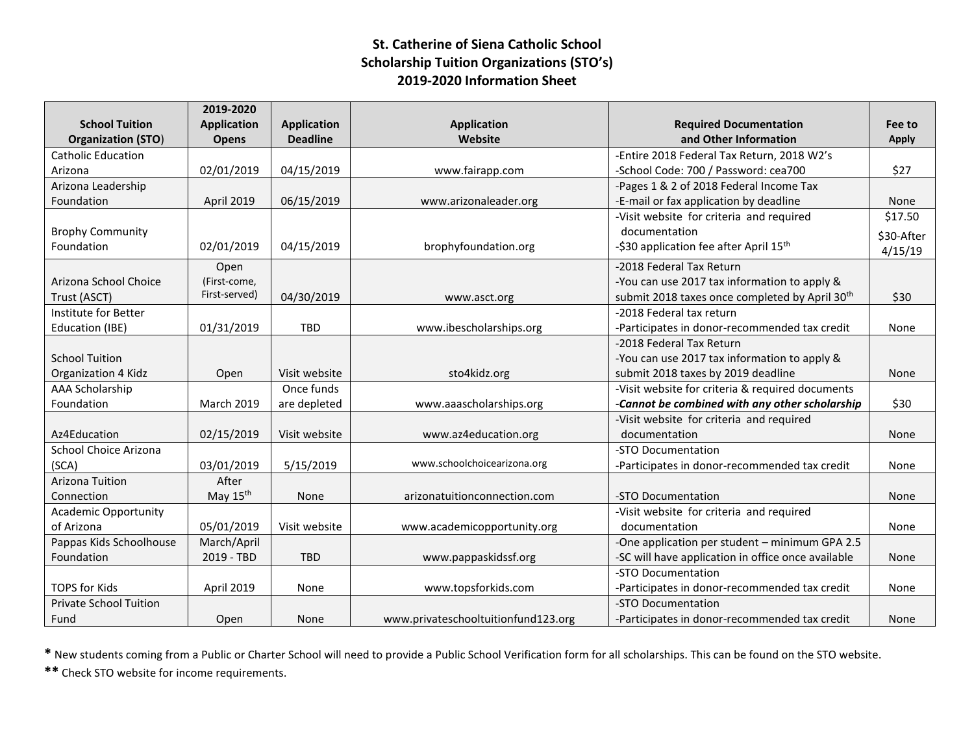## **St. Catherine of Siena Catholic School Scholarship Tuition Organizations (STO's) 2019-2020 Information Sheet**

|                               | 2019-2020          |                    |                                     |                                                            |              |
|-------------------------------|--------------------|--------------------|-------------------------------------|------------------------------------------------------------|--------------|
| <b>School Tuition</b>         | <b>Application</b> | <b>Application</b> | <b>Application</b>                  | <b>Required Documentation</b>                              | Fee to       |
| <b>Organization (STO)</b>     | <b>Opens</b>       | <b>Deadline</b>    | Website                             | and Other Information                                      | <b>Apply</b> |
| <b>Catholic Education</b>     |                    |                    |                                     | -Entire 2018 Federal Tax Return, 2018 W2's                 |              |
| Arizona                       | 02/01/2019         | 04/15/2019         | www.fairapp.com                     | -School Code: 700 / Password: cea700                       | \$27         |
| Arizona Leadership            |                    |                    |                                     | -Pages 1 & 2 of 2018 Federal Income Tax                    |              |
| Foundation                    | April 2019         | 06/15/2019         | www.arizonaleader.org               | -E-mail or fax application by deadline                     | None         |
|                               |                    |                    |                                     | -Visit website for criteria and required                   | \$17.50      |
| <b>Brophy Community</b>       |                    |                    |                                     | documentation                                              | \$30-After   |
| Foundation                    | 02/01/2019         | 04/15/2019         | brophyfoundation.org                | -\$30 application fee after April 15 <sup>th</sup>         | 4/15/19      |
|                               | Open               |                    |                                     | -2018 Federal Tax Return                                   |              |
| Arizona School Choice         | (First-come,       |                    |                                     | -You can use 2017 tax information to apply &               |              |
| Trust (ASCT)                  | First-served)      | 04/30/2019         | www.asct.org                        | submit 2018 taxes once completed by April 30 <sup>th</sup> | \$30         |
| Institute for Better          |                    |                    |                                     | -2018 Federal tax return                                   |              |
| Education (IBE)               | 01/31/2019         | <b>TBD</b>         | www.ibescholarships.org             | -Participates in donor-recommended tax credit              | None         |
|                               |                    |                    |                                     | -2018 Federal Tax Return                                   |              |
| <b>School Tuition</b>         |                    |                    |                                     | -You can use 2017 tax information to apply &               |              |
| Organization 4 Kidz           | Open               | Visit website      | sto4kidz.org                        | submit 2018 taxes by 2019 deadline                         | None         |
| <b>AAA Scholarship</b>        |                    | Once funds         |                                     | -Visit website for criteria & required documents           |              |
| Foundation                    | <b>March 2019</b>  | are depleted       | www.aaascholarships.org             | -Cannot be combined with any other scholarship             | \$30         |
|                               |                    |                    |                                     | -Visit website for criteria and required                   |              |
| Az4Education                  | 02/15/2019         | Visit website      | www.az4education.org                | documentation                                              | None         |
| School Choice Arizona         |                    |                    |                                     | -STO Documentation                                         |              |
| (SCA)                         | 03/01/2019         | 5/15/2019          | www.schoolchoicearizona.org         | -Participates in donor-recommended tax credit              | None         |
| Arizona Tuition               | After              |                    |                                     |                                                            |              |
| Connection                    | May $15th$         | None               | arizonatuitionconnection.com        | -STO Documentation                                         | None         |
| <b>Academic Opportunity</b>   |                    |                    |                                     | -Visit website for criteria and required                   |              |
| of Arizona                    | 05/01/2019         | Visit website      | www.academicopportunity.org         | documentation                                              | None         |
| Pappas Kids Schoolhouse       | March/April        |                    |                                     | -One application per student - minimum GPA 2.5             |              |
| Foundation                    | 2019 - TBD         | <b>TBD</b>         | www.pappaskidssf.org                | -SC will have application in office once available         | None         |
|                               |                    |                    |                                     | -STO Documentation                                         |              |
| <b>TOPS for Kids</b>          | April 2019         | None               | www.topsforkids.com                 | -Participates in donor-recommended tax credit              | None         |
| <b>Private School Tuition</b> |                    |                    |                                     | -STO Documentation                                         |              |
| Fund                          | Open               | None               | www.privateschooltuitionfund123.org | -Participates in donor-recommended tax credit              | None         |

**\*** New students coming from a Public or Charter School will need to provide a Public School Verification form for all scholarships. This can be found on the STO website.

**\*\*** Check STO website for income requirements.